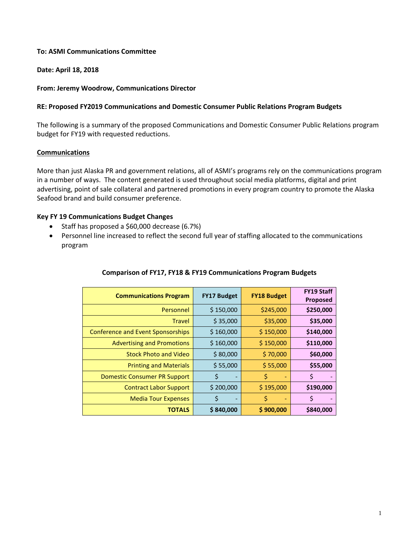### **To: ASMI Communications Committee**

### **Date: April 18, 2018**

#### **From: Jeremy Woodrow, Communications Director**

### **RE: Proposed FY2019 Communications and Domestic Consumer Public Relations Program Budgets**

The following is a summary of the proposed Communications and Domestic Consumer Public Relations program budget for FY19 with requested reductions.

# **Communications**

More than just Alaska PR and government relations, all of ASMI's programs rely on the communications program in a number of ways. The content generated is used throughout social media platforms, digital and print advertising, point of sale collateral and partnered promotions in every program country to promote the Alaska Seafood brand and build consumer preference.

# **Key FY 19 Communications Budget Changes**

- Staff has proposed a \$60,000 decrease (6.7%)
- Personnel line increased to reflect the second full year of staffing allocated to the communications program

| <b>Communications Program</b>            | <b>FY17 Budget</b>                 | <b>FY18 Budget</b> | <b>FY19 Staff</b><br>Proposed |
|------------------------------------------|------------------------------------|--------------------|-------------------------------|
| Personnel                                | \$150,000                          | \$245,000          | \$250,000                     |
| <b>Travel</b>                            | \$35,000                           | \$35,000           | \$35,000                      |
| <b>Conference and Event Sponsorships</b> | \$160,000                          | \$150,000          | \$140,000                     |
| <b>Advertising and Promotions</b>        | \$160,000                          | \$150,000          | \$110,000                     |
| <b>Stock Photo and Video</b>             | \$80,000                           | \$70,000           | \$60,000                      |
| <b>Printing and Materials</b>            | \$55,000                           | \$55,000           | \$55,000                      |
| <b>Domestic Consumer PR Support</b>      | \$                                 | \$                 | \$                            |
| <b>Contract Labor Support</b>            | \$200,000                          | \$195,000          | \$190,000                     |
| <b>Media Tour Expenses</b>               | \$<br>$\qquad \qquad \blacksquare$ | \$                 | \$                            |
| <b>TOTALS</b>                            | \$840,000                          | \$900,000          | \$840,000                     |

#### **Comparison of FY17, FY18 & FY19 Communications Program Budgets**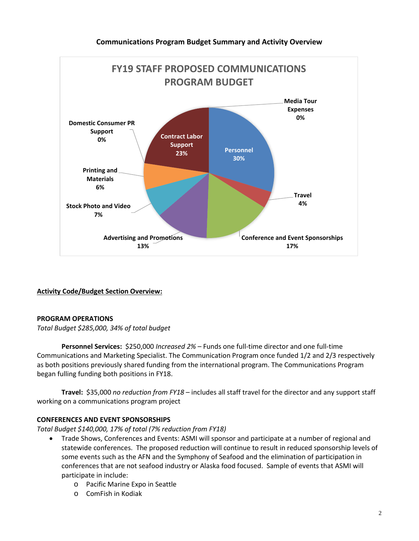

# **Activity Code/Budget Section Overview:**

# **PROGRAM OPERATIONS**

*Total Budget \$285,000, 34% of total budget*

**Personnel Services:** \$250,000 *Increased 2%* – Funds one full-time director and one full-time Communications and Marketing Specialist. The Communication Program once funded 1/2 and 2/3 respectively as both positions previously shared funding from the international program. The Communications Program began fulling funding both positions in FY18.

**Travel:** \$35,000 *no reduction from FY18* – includes all staff travel for the director and any support staff working on a communications program project

#### **CONFERENCES AND EVENT SPONSORSHIPS**

*Total Budget \$140,000, 17% of total (7% reduction from FY18)*

- Trade Shows, Conferences and Events: ASMI will sponsor and participate at a number of regional and statewide conferences. The proposed reduction will continue to result in reduced sponsorship levels of some events such as the AFN and the Symphony of Seafood and the elimination of participation in conferences that are not seafood industry or Alaska food focused. Sample of events that ASMI will participate in include:
	- o Pacific Marine Expo in Seattle
	- o ComFish in Kodiak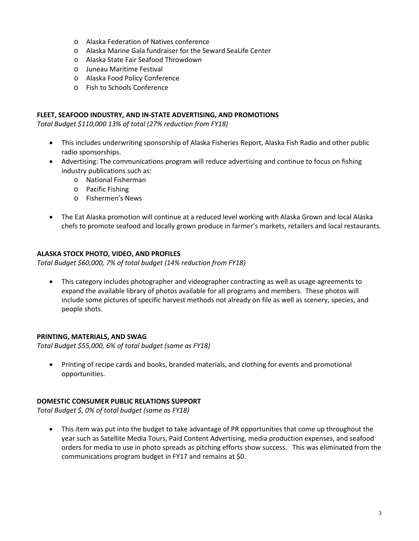- o Alaska Federation of Natives conference
- o Alaska Marine Gala fundraiser for the Seward SeaLife Center
- o Alaska State Fair Seafood Throwdown
- o Juneau Maritime Festival
- o Alaska Food Policy Conference
- o Fish to Schools Conference

### **FLEET, SEAFOOD INDUSTRY, AND IN-STATE ADVERTISING, AND PROMOTIONS**

*Total Budget \$110,000 13% of total (27% reduction from FY18)*

- This includes underwriting sponsorship of Alaska Fisheries Report, Alaska Fish Radio and other public radio sponsorships.
- Advertising: The communications program will reduce advertising and continue to focus on fishing industry publications such as:
	- o National Fisherman
	- o Pacific Fishing
	- o Fishermen's News
- The Eat Alaska promotion will continue at a reduced level working with Alaska Grown and local Alaska chefs to promote seafood and locally grown produce in farmer's markets, retailers and local restaurants.

# **ALASKA STOCK PHOTO, VIDEO, AND PROFILES**

*Total Budget \$60,000, 7% of total budget (14% reduction from FY18)*

• This category includes photographer and videographer contracting as well as usage agreements to expand the available library of photos available for all programs and members. These photos will include some pictures of specific harvest methods not already on file as well as scenery, species, and people shots.

#### **PRINTING, MATERIALS, AND SWAG**

*Total Budget \$55,000, 6% of total budget (same as FY18)*

• Printing of recipe cards and books, branded materials, and clothing for events and promotional opportunities.

#### **DOMESTIC CONSUMER PUBLIC RELATIONS SUPPORT**

*Total Budget \$, 0% of total budget (same as FY18)*

• This item was put into the budget to take advantage of PR opportunities that come up throughout the year such as Satellite Media Tours, Paid Content Advertising, media production expenses, and seafood orders for media to use in photo spreads as pitching efforts show success. This was eliminated from the communications program budget in FY17 and remains at \$0.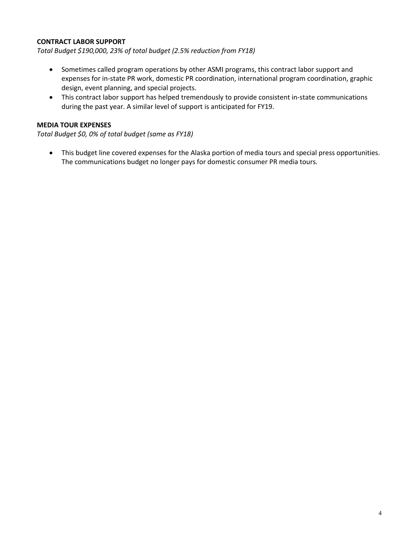### **CONTRACT LABOR SUPPORT**

*Total Budget \$190,000, 23% of total budget (2.5% reduction from FY18)*

- Sometimes called program operations by other ASMI programs, this contract labor support and expenses for in-state PR work, domestic PR coordination, international program coordination, graphic design, event planning, and special projects.
- This contract labor support has helped tremendously to provide consistent in-state communications during the past year. A similar level of support is anticipated for FY19.

#### **MEDIA TOUR EXPENSES**

*Total Budget \$0, 0% of total budget (same as FY18)*

• This budget line covered expenses for the Alaska portion of media tours and special press opportunities. The communications budget no longer pays for domestic consumer PR media tours.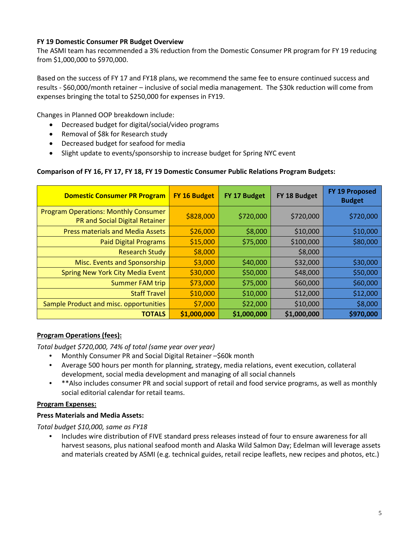# **FY 19 Domestic Consumer PR Budget Overview**

The ASMI team has recommended a 3% reduction from the Domestic Consumer PR program for FY 19 reducing from \$1,000,000 to \$970,000.

Based on the success of FY 17 and FY18 plans, we recommend the same fee to ensure continued success and results - \$60,000/month retainer – inclusive of social media management. The \$30k reduction will come from expenses bringing the total to \$250,000 for expenses in FY19.

Changes in Planned OOP breakdown include:

- Decreased budget for digital/social/video programs
- Removal of \$8k for Research study
- Decreased budget for seafood for media
- Slight update to events/sponsorship to increase budget for Spring NYC event

#### **Comparison of FY 16, FY 17, FY 18, FY 19 Domestic Consumer Public Relations Program Budgets:**

| <b>Domestic Consumer PR Program</b>                                           | FY 16 Budget | FY 17 Budget | FY 18 Budget | FY 19 Proposed<br><b>Budget</b> |
|-------------------------------------------------------------------------------|--------------|--------------|--------------|---------------------------------|
| <b>Program Operations: Monthly Consumer</b><br>PR and Social Digital Retainer | \$828,000    | \$720,000    | \$720,000    | \$720,000                       |
| <b>Press materials and Media Assets</b>                                       | \$26,000     | \$8,000      | \$10,000     | \$10,000                        |
| <b>Paid Digital Programs</b>                                                  | \$15,000     | \$75,000     | \$100,000    | \$80,000                        |
| <b>Research Study</b>                                                         | \$8,000      |              | \$8,000      |                                 |
| Misc. Events and Sponsorship                                                  | \$3,000      | \$40,000     | \$32,000     | \$30,000                        |
| <b>Spring New York City Media Event</b>                                       | \$30,000     | \$50,000     | \$48,000     | \$50,000                        |
| <b>Summer FAM trip</b>                                                        | \$73,000     | \$75,000     | \$60,000     | \$60,000                        |
| <b>Staff Travel</b>                                                           | \$10,000     | \$10,000     | \$12,000     | \$12,000                        |
| Sample Product and misc. opportunities                                        | \$7,000      | \$22,000     | \$10,000     | \$8,000                         |
| <b>TOTALS</b>                                                                 | \$1,000,000  | \$1,000,000  | \$1,000,000  | \$970,000                       |

#### **Program Operations (fees):**

*Total budget \$720,000, 74% of total (same year over year)*

- Monthly Consumer PR and Social Digital Retainer –\$60k month
- Average 500 hours per month for planning, strategy, media relations, event execution, collateral development, social media development and managing of all social channels
- \*\*Also includes consumer PR and social support of retail and food service programs, as well as monthly social editorial calendar for retail teams.

#### **Program Expenses:**

#### **Press Materials and Media Assets:**

*Total budget \$10,000, same as FY18*

• Includes wire distribution of FIVE standard press releases instead of four to ensure awareness for all harvest seasons, plus national seafood month and Alaska Wild Salmon Day; Edelman will leverage assets and materials created by ASMI (e.g. technical guides, retail recipe leaflets, new recipes and photos, etc.)